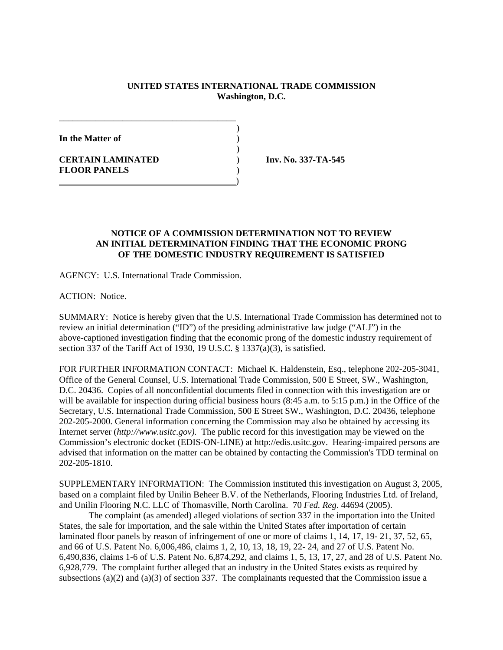## **UNITED STATES INTERNATIONAL TRADE COMMISSION Washington, D.C.**

)

)

**In the Matter of** )

**CERTAIN LAMINATED** ) **Inv. No. 337-TA-545 FLOOR PANELS** )

## **NOTICE OF A COMMISSION DETERMINATION NOT TO REVIEW AN INITIAL DETERMINATION FINDING THAT THE ECONOMIC PRONG OF THE DOMESTIC INDUSTRY REQUIREMENT IS SATISFIED**

AGENCY: U.S. International Trade Commission.

\_\_\_\_\_\_\_\_\_\_\_\_\_\_\_\_\_\_\_\_\_\_\_\_\_\_\_\_\_\_\_\_\_\_\_\_\_\_\_

)

ACTION: Notice.

SUMMARY: Notice is hereby given that the U.S. International Trade Commission has determined not to review an initial determination ("ID") of the presiding administrative law judge ("ALJ") in the above-captioned investigation finding that the economic prong of the domestic industry requirement of section 337 of the Tariff Act of 1930, 19 U.S.C. § 1337(a)(3), is satisfied.

FOR FURTHER INFORMATION CONTACT: Michael K. Haldenstein, Esq., telephone 202-205-3041, Office of the General Counsel, U.S. International Trade Commission, 500 E Street, SW., Washington, D.C. 20436. Copies of all nonconfidential documents filed in connection with this investigation are or will be available for inspection during official business hours  $(8:45 \text{ a.m. to } 5:15 \text{ p.m.})$  in the Office of the Secretary, U.S. International Trade Commission, 500 E Street SW., Washington, D.C. 20436, telephone 202-205-2000. General information concerning the Commission may also be obtained by accessing its Internet server (*http://www.usitc.gov).* The public record for this investigation may be viewed on the Commission's electronic docket (EDIS-ON-LINE) at http://edis.usitc.gov. Hearing-impaired persons are advised that information on the matter can be obtained by contacting the Commission's TDD terminal on 202-205-1810.

SUPPLEMENTARY INFORMATION: The Commission instituted this investigation on August 3, 2005, based on a complaint filed by Unilin Beheer B.V. of the Netherlands, Flooring Industries Ltd. of Ireland, and Unilin Flooring N.C. LLC of Thomasville, North Carolina. 70 *Fed. Reg*. 44694 (2005).

The complaint (as amended) alleged violations of section 337 in the importation into the United States, the sale for importation, and the sale within the United States after importation of certain laminated floor panels by reason of infringement of one or more of claims 1, 14, 17, 19- 21, 37, 52, 65, and 66 of U.S. Patent No. 6,006,486, claims 1, 2, 10, 13, 18, 19, 22- 24, and 27 of U.S. Patent No. 6,490,836, claims 1-6 of U.S. Patent No. 6,874,292, and claims 1, 5, 13, 17, 27, and 28 of U.S. Patent No. 6,928,779. The complaint further alleged that an industry in the United States exists as required by subsections (a)(2) and (a)(3) of section 337. The complainants requested that the Commission issue a